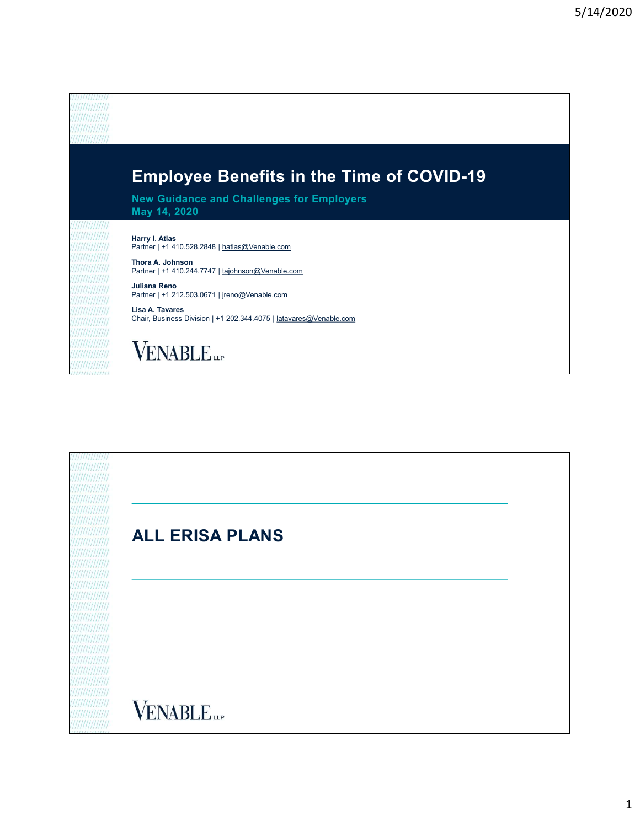

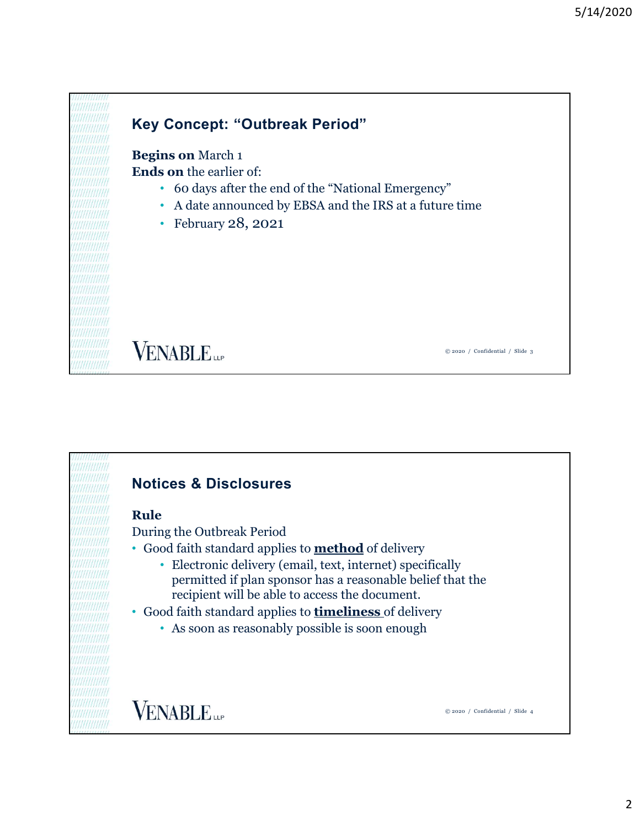# Key Concept: "Outbreak Period" Begins on March 1 Ends on the earlier of: • 60 days after the end of the "National Emergency" • A date announced by EBSA and the IRS at a future time • February 28, 2021 **VENABLE** © 2020 / Confidential / Slide 3

## Notices & Disclosures

#### Rule

During the Outbreak Period

- Good faith standard applies to **method** of delivery
	- Electronic delivery (email, text, internet) specifically permitted if plan sponsor has a reasonable belief that the recipient will be able to access the document.
- Good faith standard applies to timeliness of delivery
	- As soon as reasonably possible is soon enough

**VENABLE**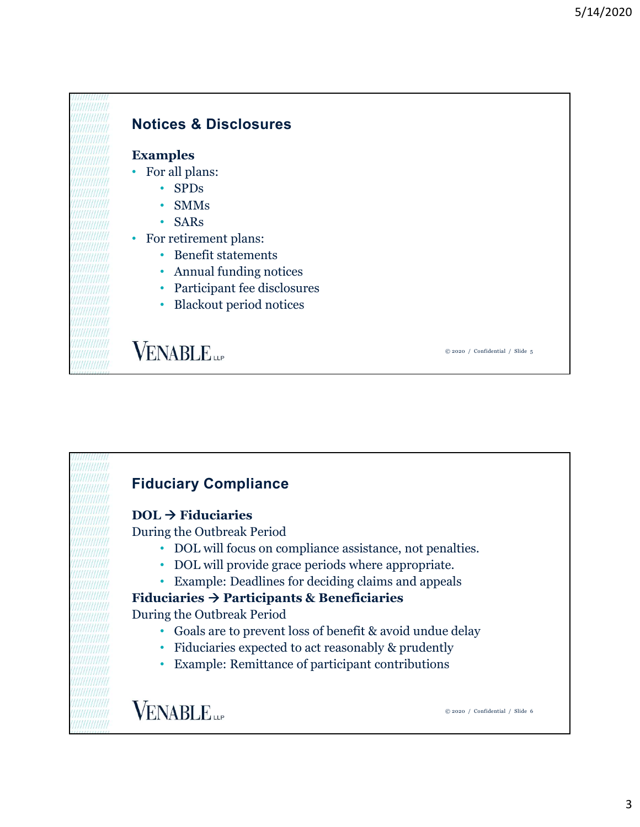

#### Notices & Disclosures

#### Examples

- For all plans:
	- SPDs
	- SMMs
	- SARs
- For retirement plans:
	- Benefit statements
	- Annual funding notices
	- Participant fee disclosures
	- Blackout period notices

**VENABLE** 

© 2020 / Confidential / Slide 5

### Fiduciary Compliance

#### $DOL \rightarrow$  Fiduciaries

During the Outbreak Period

- DOL will focus on compliance assistance, not penalties.
- DOL will provide grace periods where appropriate.
- Example: Deadlines for deciding claims and appeals

#### Fiduciaries  $\rightarrow$  Participants & Beneficiaries

During the Outbreak Period

- Goals are to prevent loss of benefit & avoid undue delay
- Fiduciaries expected to act reasonably & prudently
- Example: Remittance of participant contributions

**VENABLE**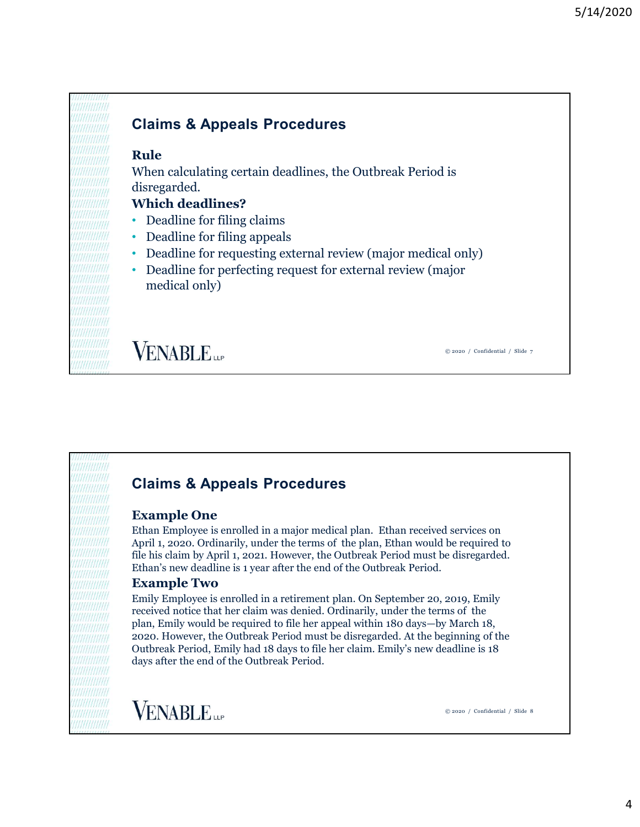# Rule Claims & Appeals Procedures

When calculating certain deadlines, the Outbreak Period is disregarded.

#### Which deadlines?

- Deadline for filing claims
- Deadline for filing appeals
- Deadline for requesting external review (major medical only)
- Deadline for perfecting request for external review (major medical only)

**VENABLE** 

© 2020 / Confidential / Slide 7

# Claims & Appeals Procedures

#### Example One

Ethan Employee is enrolled in a major medical plan. Ethan received services on April 1, 2020. Ordinarily, under the terms of the plan, Ethan would be required to file his claim by April 1, 2021. However, the Outbreak Period must be disregarded. Ethan's new deadline is 1 year after the end of the Outbreak Period.

#### Example Two

Emily Employee is enrolled in a retirement plan. On September 20, 2019, Emily received notice that her claim was denied. Ordinarily, under the terms of the plan, Emily would be required to file her appeal within 180 days—by March 18, 2020. However, the Outbreak Period must be disregarded. At the beginning of the Outbreak Period, Emily had 18 days to file her claim. Emily's new deadline is 18 days after the end of the Outbreak Period.

**VENABLE**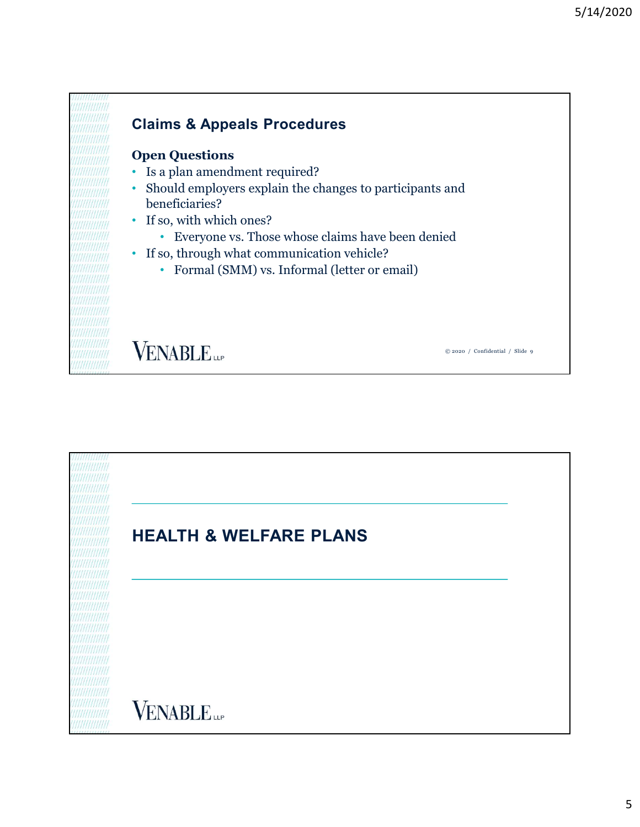

**VENABLE** 

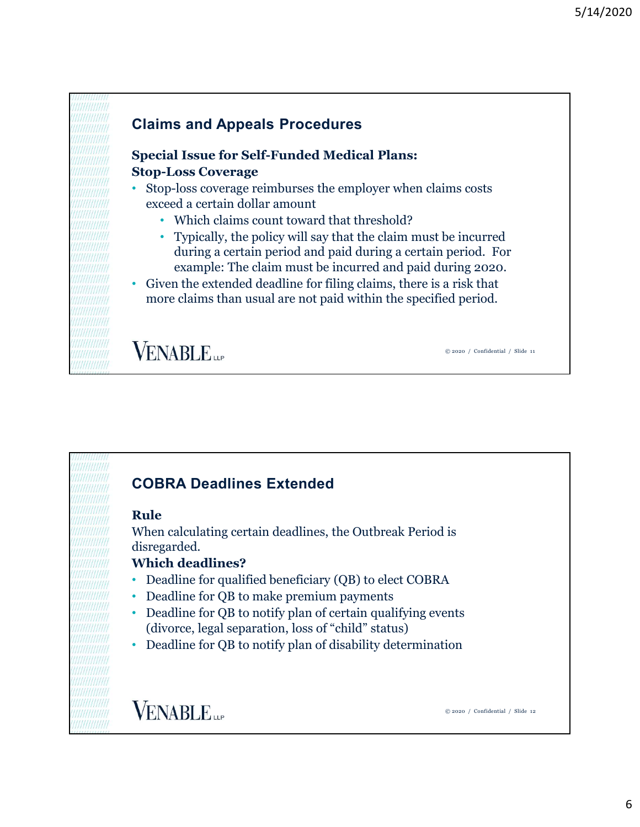# Special Issue for Self-Funded Medical Plans: Stop-Loss Coverage • Stop-loss coverage reimburses the employer when claims costs exceed a certain dollar amount • Which claims count toward that threshold? • Typically, the policy will say that the claim must be incurred during a certain period and paid during a certain period. For example: The claim must be incurred and paid during 2020. • Given the extended deadline for filing claims, there is a risk that more claims than usual are not paid within the specified period. Claims and Appeals Procedures

# **VENABLE**

© 2020 / Confidential / Slide 11

# COBRA Deadlines Extended

#### Rule

When calculating certain deadlines, the Outbreak Period is disregarded.

#### Which deadlines?

- Deadline for qualified beneficiary (QB) to elect COBRA
- Deadline for QB to make premium payments
- Deadline for QB to notify plan of certain qualifying events (divorce, legal separation, loss of "child" status)
- Deadline for QB to notify plan of disability determination

**VENABLE**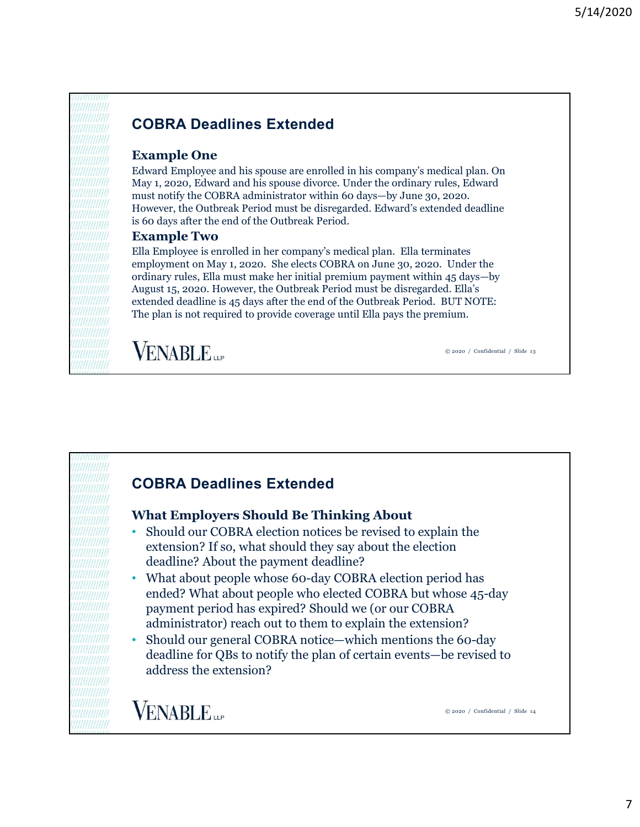## COBRA Deadlines Extended

#### Example One

Edward Employee and his spouse are enrolled in his company's medical plan. On May 1, 2020, Edward and his spouse divorce. Under the ordinary rules, Edward must notify the COBRA administrator within 60 days—by June 30, 2020. However, the Outbreak Period must be disregarded. Edward's extended deadline is 60 days after the end of the Outbreak Period.

#### Example Two

Ella Employee is enrolled in her company's medical plan. Ella terminates employment on May 1, 2020. She elects COBRA on June 30, 2020. Under the ordinary rules, Ella must make her initial premium payment within 45 days—by August 15, 2020. However, the Outbreak Period must be disregarded. Ella's extended deadline is 45 days after the end of the Outbreak Period. BUT NOTE: The plan is not required to provide coverage until Ella pays the premium.

**VENABLE** 

© 2020 / Confidential / Slide 13

### COBRA Deadlines Extended

#### What Employers Should Be Thinking About

- Should our COBRA election notices be revised to explain the extension? If so, what should they say about the election deadline? About the payment deadline?
- What about people whose 60-day COBRA election period has ended? What about people who elected COBRA but whose 45-day payment period has expired? Should we (or our COBRA administrator) reach out to them to explain the extension?
- Should our general COBRA notice—which mentions the 60-day deadline for QBs to notify the plan of certain events—be revised to address the extension?

**VENABLE**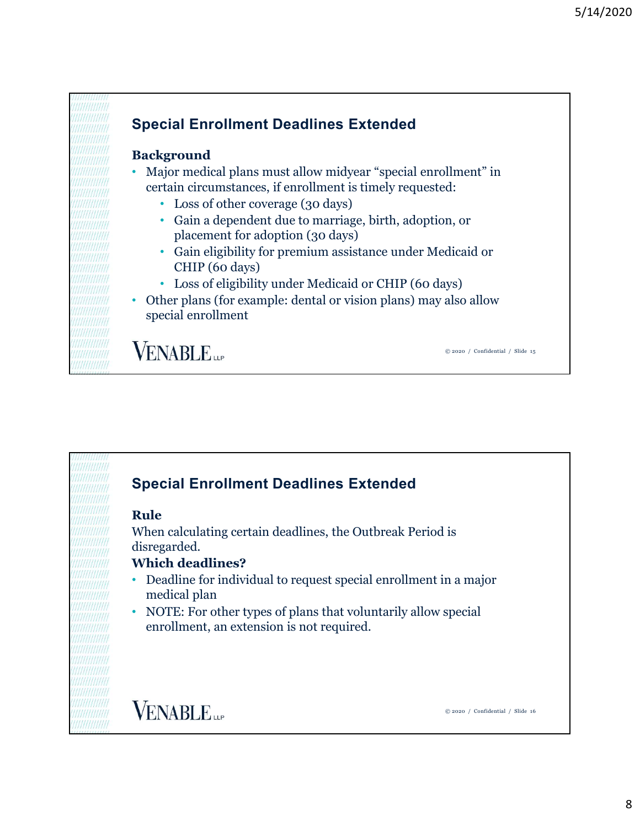

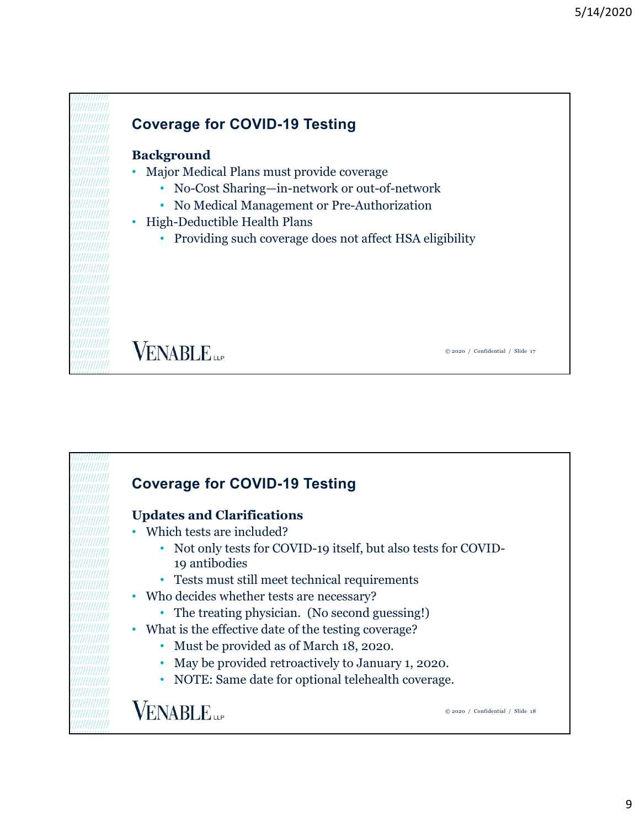



#### 9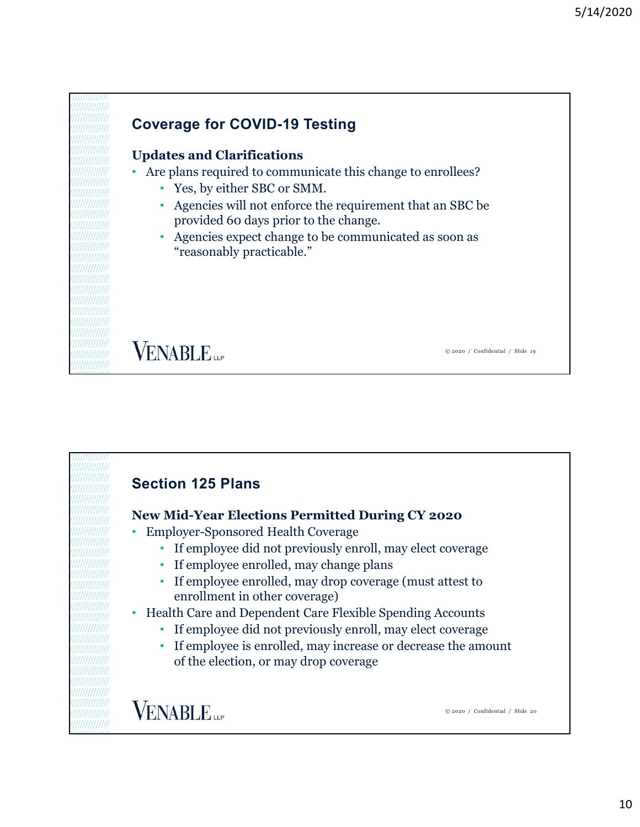

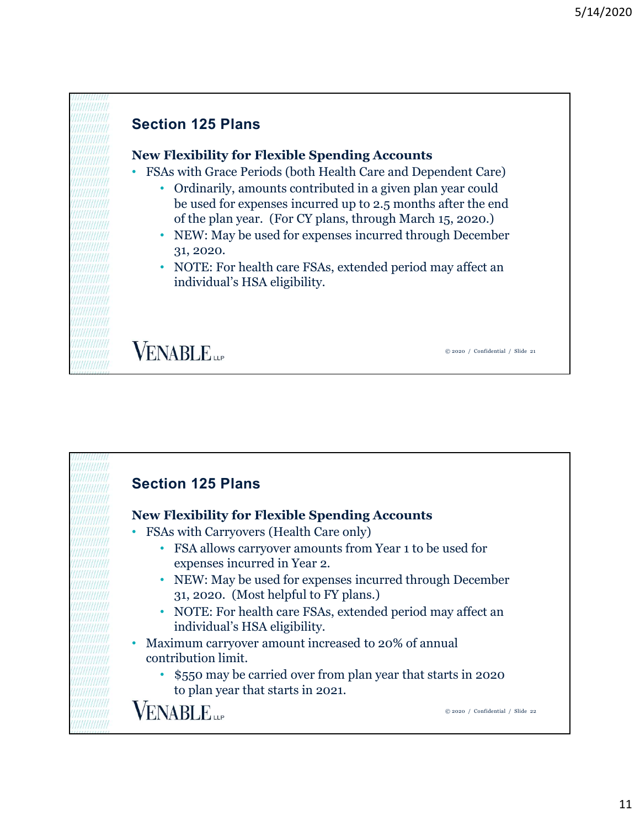# Section 125 Plans New Flexibility for Flexible Spending Accounts • FSAs with Grace Periods (both Health Care and Dependent Care) • Ordinarily, amounts contributed in a given plan year could be used for expenses incurred up to 2.5 months after the end of the plan year. (For CY plans, through March 15, 2020.) • NEW: May be used for expenses incurred through December 31, 2020. • NOTE: For health care FSAs, extended period may affect an individual's HSA eligibility. **VENABLE** © 2020 / Confidential / Slide 21

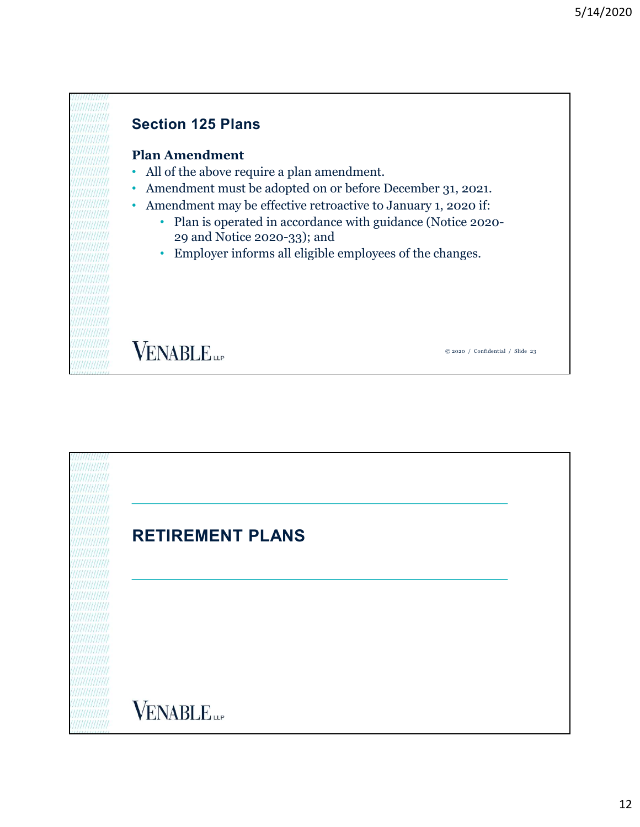### Section 125 Plans

#### Plan Amendment

- All of the above require a plan amendment.
- Amendment must be adopted on or before December 31, 2021.
- Amendment may be effective retroactive to January 1, 2020 if:
	- Plan is operated in accordance with guidance (Notice 2020- 29 and Notice 2020-33); and
	- Employer informs all eligible employees of the changes.

**VENABLE** 

RETIREMENT PLANS**VENABLE**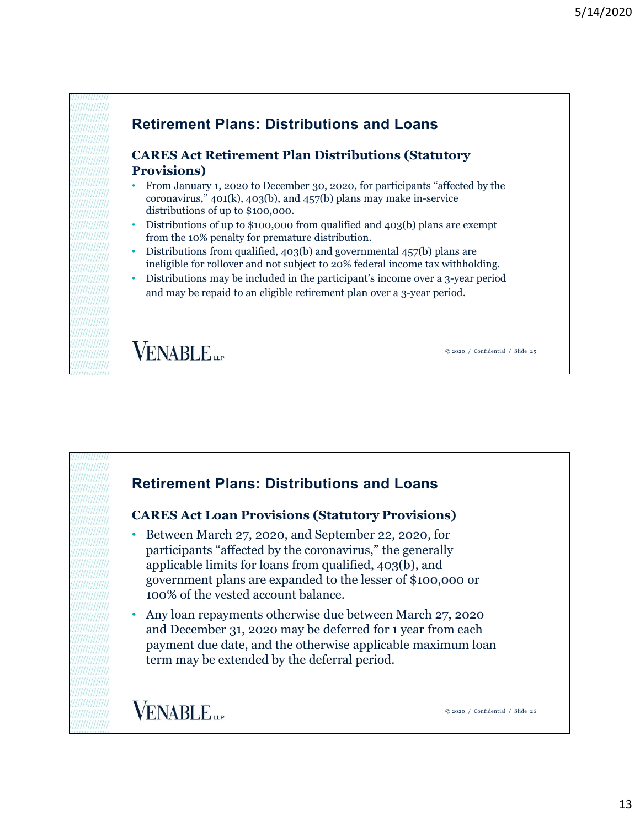

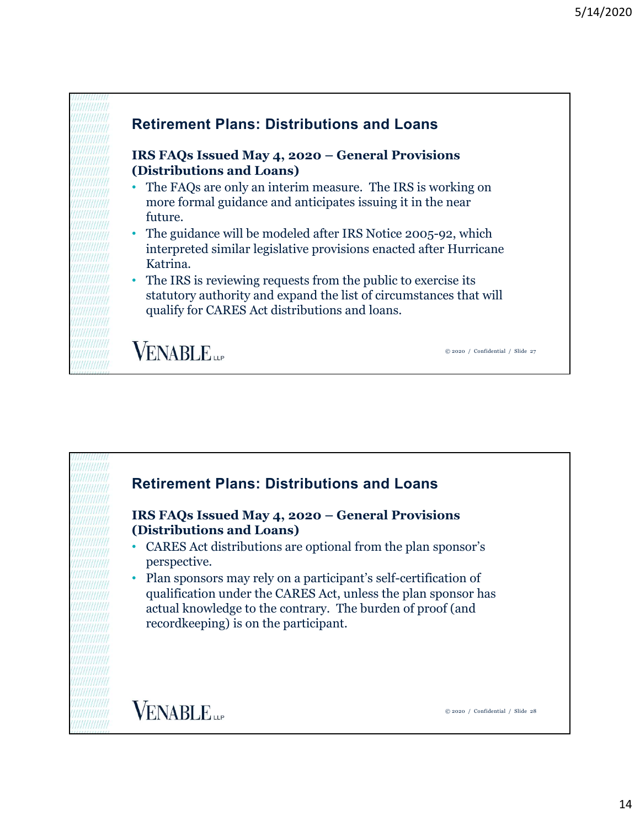



14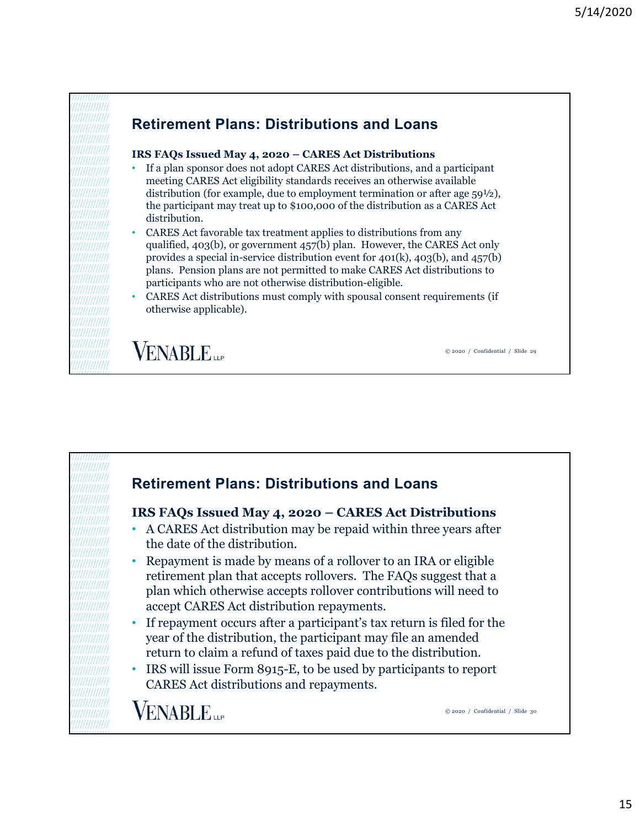# Retirement Plans: Distributions and Loans

- 5/14/2020<br> **Retirement Plans: Distributions and Loans**<br> **IRS FAQs Issued May 4, 2020 CARES Act Distributions**<br>
 If a plan sponsor does not adopt CARES Act distributions, and a participant<br>
meeting CARES Act eligibility • If a plan sponsor does not adopt CARES Act distributions, and a participant meeting CARES Act eligibility standards receives an otherwise available distribution (for example, due to employment termination or after age 59½), the participant may treat up to \$100,000 of the distribution as a CARES Act distribution.
- CARES Act favorable tax treatment applies to distributions from any qualified, 403(b), or government 457(b) plan. However, the CARES Act only provides a special in-service distribution event for 401(k), 403(b), and 457(b) plans. Pension plans are not permitted to make CARES Act distributions to participants who are not otherwise distribution-eligible.
- CARES Act distributions must comply with spousal consent requirements (if otherwise applicable).

qualified, 403(b), or government 457(b) plan. However, the CARES Act chaly<br>provides a special in-service distribution event for 401(k), 403(b), and 457(b)<br>plans. Pension plans are not permitted to make CARES Act distributi Retirement Plans: Distributions and Loans • A CARES Act distribution may be repaid within three years after the date of the distribution. • Repayment is made by means of a rollover to an IRA or eligible retirement plan that accepts rollovers. The FAQs suggest that a plan which otherwise accepts rollover contributions will need to accept CARES Act distribution repayments. • If repayment occurs after a participant's tax return is filed for the year of the distribution, the participant may file an amended return to claim a refund of taxes paid due to the distribution. • IRS will issue Form 8915-E, to be used by participants to report CARES Act distributions and repayments. **VENABLE** © 2020 / Confidential / Slide 30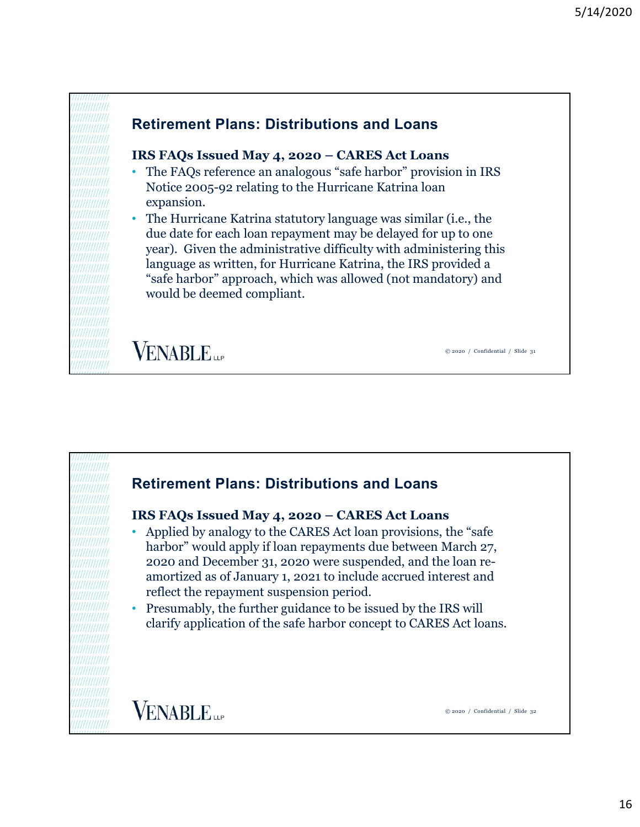### Retirement Plans: Distributions and Loans

- S/14/2020<br> **Retirement Plans: Distributions and Loans**<br> **IRS FAQs Issued May 4, 2020 CARES Act Loans**<br>
 The FAQs reference an analogous "safe harbor" provision in IRS<br>
Notice 2005-92 relating to the Hurricane Katrina lo Notice 2005-92 relating to the Hurricane Katrina loan expansion.
- The Hurricane Katrina statutory language was similar (i.e., the due date for each loan repayment may be delayed for up to one year). Given the administrative difficulty with administering this language as written, for Hurricane Katrina, the IRS provided a "safe harbor" approach, which was allowed (not mandatory) and would be deemed compliant.

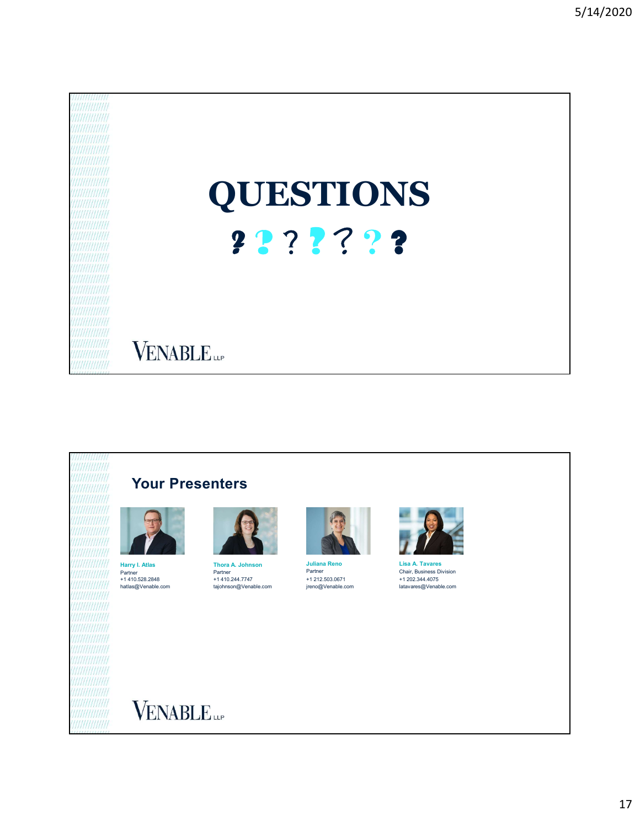





Harry I. Atlas **Thora A. Johnson** Juliana Reno<br>
Partner Partner Partner<br>
+1 410.244.7747 +1 212.503.067 +1 410.528.2848





hatlas@Venable.com tajohnson@Venable.com Partner Juliana Reno +1 212.503.0671 +1 410.244.7747 +1 202.344.4075 jreno@Venable.com latavares@Venable.com Lisa A. Tavares<br>Chair, Business Division Partner Lisa A. Tavares